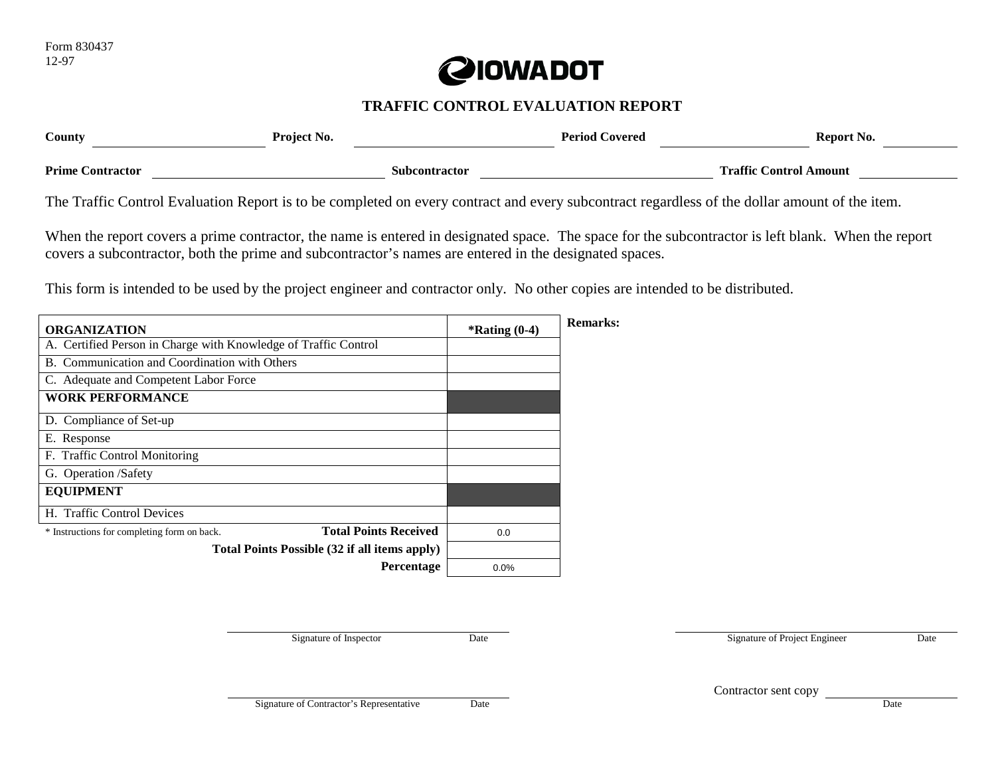

# **TRAFFIC CONTROL EVALUATION REPORT**

| County                  | Project No.          | <b>Period Covered</b> | Report No.                    |
|-------------------------|----------------------|-----------------------|-------------------------------|
| <b>Prime Contractor</b> | <b>Subcontractor</b> |                       | <b>Traffic Control Amount</b> |

The Traffic Control Evaluation Report is to be completed on every contract and every subcontract regardless of the dollar amount of the item.

When the report covers a prime contractor, the name is entered in designated space. The space for the subcontractor is left blank. When the report covers a subcontractor, both the prime and subcontractor's names are entered in the designated spaces.

This form is intended to be used by the project engineer and contractor only. No other copies are intended to be distributed.

| <b>ORGANIZATION</b>                                                         |                   | $*$ Rating $(0-4)$ | Remarks: |
|-----------------------------------------------------------------------------|-------------------|--------------------|----------|
| A. Certified Person in Charge with Knowledge of Traffic Control             |                   |                    |          |
| B. Communication and Coordination with Others                               |                   |                    |          |
| C. Adequate and Competent Labor Force                                       |                   |                    |          |
| <b>WORK PERFORMANCE</b>                                                     |                   |                    |          |
| D. Compliance of Set-up                                                     |                   |                    |          |
| E. Response                                                                 |                   |                    |          |
| F. Traffic Control Monitoring                                               |                   |                    |          |
| G. Operation /Safety                                                        |                   |                    |          |
| <b>EQUIPMENT</b>                                                            |                   |                    |          |
| H. Traffic Control Devices                                                  |                   |                    |          |
| <b>Total Points Received</b><br>* Instructions for completing form on back. |                   | 0.0                |          |
| Total Points Possible (32 if all items apply)                               |                   |                    |          |
|                                                                             | <b>Percentage</b> | 0.0%               |          |

Signature of Inspector Date Date Date Signature of Project Engineer Date

Contractor sent copy